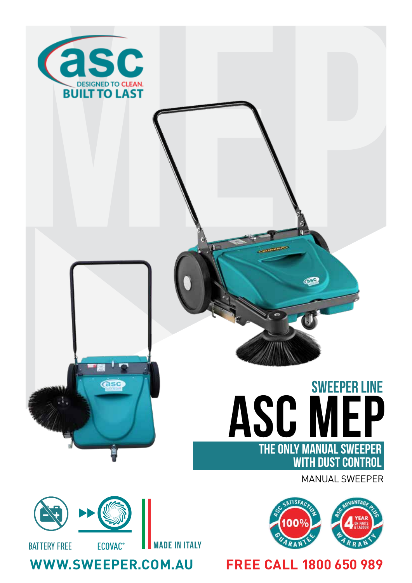

**WWW.SWEEPER.COM.AU FREE CALL 1800 650 989**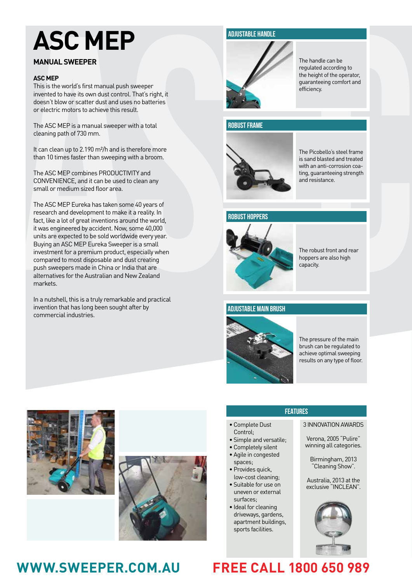# **ASC MEP**

### **MANUAL SWEEPER**

### **ASC MEP**

This is the world's first manual push sweeper invented to have its own dust control. That's right, it doesn't blow or scatter dust and uses no batteries or electric motors to achieve this result.

The ASC MEP is a manual sweeper with a total cleaning path of 730 mm.

It can clean up to 2.190 m²/h and is therefore more than 10 times faster than sweeping with a broom.

The ASC MEP combines PRODUCTIVITY and CONVENIENCE, and it can be used to clean any small or medium sized floor area.

**MAINUAL SWEEP EXERCT THE SECTION CONSULTS AND THE INTERNATION CONSULTS INTERNATION CONSULTS IN THE SECTION OF THE INTERNATION CONSULTS IN THE CONSULTS INTERNATION CONSULTS INTERNATION CONSULTS INTERNATION CONSULTS INTERNA** The ASC MEP Eureka has taken some 40 years of research and development to make it a reality. In fact, like a lot of great inventions around the world, it was engineered by accident. Now, some 40,000 units are expected to be sold worldwide every year. Buying an ASC MEP Eureka Sweeper is a small investment for a premium product, especially when compared to most disposable and dust creating push sweepers made in China or India that are alternatives for the Australian and New Zealand markets.

In a nutshell, this is a truly remarkable and practical invention that has long been sought after by commercial industries.



### **ADJUSTABLE HANDLE**



The handle can be regulated according to the height of the operator, guaranteeing comfort and efficiency.

### **ROBUST FRAME**



The Picobello's steel frame is sand blasted and treated with an anti-corrosion coa ting, guaranteeing strength and resistance.

### **ROBUST HOPPERS**



The robust front and rear hoppers are also high capacity.

### **ADJUSTABLE MAIN BRUSH**



The pressure of the main brush can be regulated to achieve optimal sweeping results on any type of floor.

### **FEATURES**

- Complete Dust Control;
- Simple and versatile;
- Completely silent
- Agile in congested
- spaces; • Provides quick,
- low-cost cleaning; • Suitable for use on
- uneven or external surfaces;
- Ideal for cleaning driveways, gardens, apartment buildings, sports facilities.

### 3 INNOVATION AWARDS

Verona, 2005 "Pulire" winning all categories.

Birmingham, 2013 "Cleaning Show".

Australia, 2013 at the exclusive "INCLEAN".



## **WWW.SWEEPER.COM.AU FREE CALL 1800 650 989**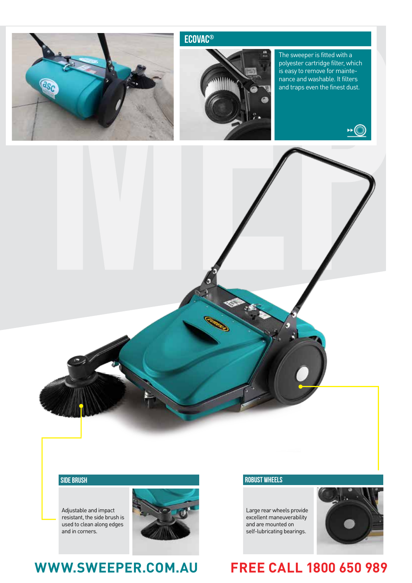

Adjustable and impact resistant, the side brush is used to clean along edges and in corners.



# **WWW.SWEEPER.COM.AU FREE CALL 1800 650 989**

Large rear wheels provide excellent maneuverability and are mounted on self-lubricating bearings.